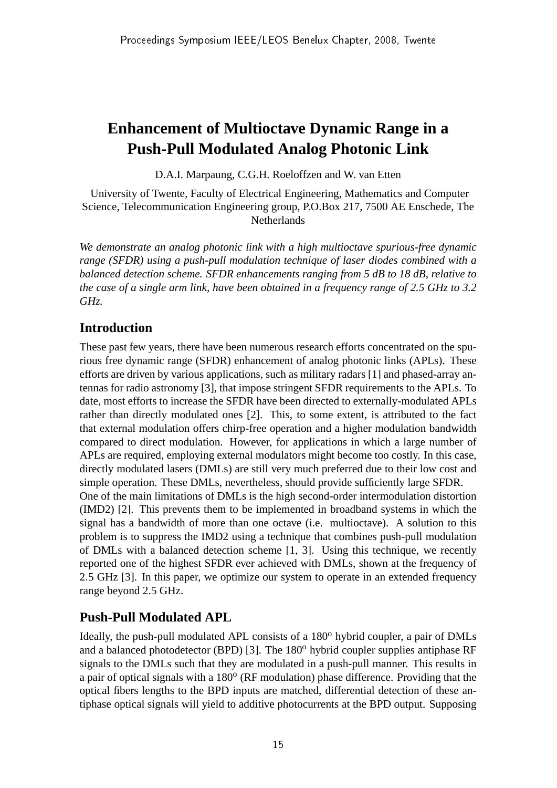# **Enhancement of Multioctave Dynamic Range in a Push-Pull Modulated Analog Photonic Link**

D.A.I. Marpaung, C.G.H. Roeloffzen and W. van Etten

University of Twente, Faculty of Electrical Engineering, Mathematics and Computer Science, Telecommunication Engineering group, P.O.Box 217, 7500 AE Enschede, The Netherlands

*We demonstrate an analog photonic link with a high multioctave spurious-free dynamic range (SFDR) using a push-pull modulation technique of laser diodes combined with a balanced detection scheme. SFDR enhancements ranging from 5 dB to 18 dB, relative to the case of a single arm link, have been obtained in a frequency range of 2.5 GHz to 3.2 GHz.*

### **Introduction**

These past few years, there have been numerous research efforts concentrated on the spurious free dynamic range (SFDR) enhancement of analog photonic links (APLs). These efforts are driven by various applications, such as military radars [1] and phased-array antennas for radio astronomy [3], that impose stringent SFDR requirements to the APLs. To date, most efforts to increase the SFDR have been directed to externally-modulated APLs rather than directly modulated ones [2]. This, to some extent, is attributed to the fact that external modulation offers chirp-free operation and a higher modulation bandwidth compared to direct modulation. However, for applications in which a large number of APLs are required, employing external modulators might become too costly. In this case, directly modulated lasers (DMLs) are still very much preferred due to their low cost and simple operation. These DMLs, nevertheless, should provide sufficiently large SFDR. One of the main limitations of DMLs is the high second-order intermodulation distortion (IMD2) [2]. This prevents them to be implemented in broadband systems in which the signal has a bandwidth of more than one octave (i.e. multioctave). A solution to this problem is to suppress the IMD2 using a technique that combines push-pull modulation of DMLs with a balanced detection scheme [1, 3]. Using this technique, we recently reported one of the highest SFDR ever achieved with DMLs, shown at the frequency of 2.5 GHz [3]. In this paper, we optimize our system to operate in an extended frequency range beyond 2.5 GHz.

## **Push-Pull Modulated APL**

Ideally, the push-pull modulated APL consists of a 180<sup>o</sup> hybrid coupler, a pair of DMLs and a balanced photodetector (BPD) [3]. The  $180^{\circ}$  hybrid coupler supplies antiphase RF signals to the DMLs such that they are modulated in a push-pull manner. This results in a pair of optical signals with a 180° (RF modulation) phase difference. Providing that the optical fibers lengths to the BPD inputs are matched, differential detection of these antiphase optical signals will yield to additive photocurrents at the BPD output. Supposing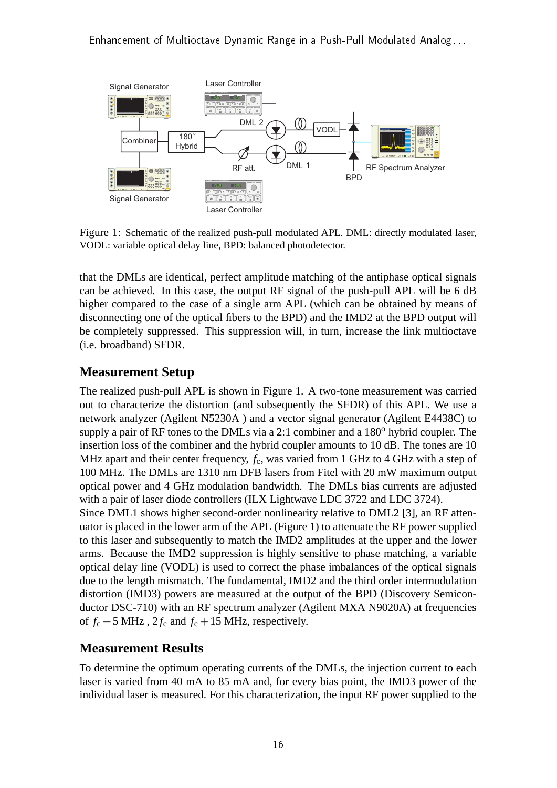

Figure 1: Schematic of the realized push-pull modulated APL. DML: directly modulated laser, VODL: variable optical delay line, BPD: balanced photodetector.

that the DMLs are identical, perfect amplitude matching of the antiphase optical signals can be achieved. In this case, the output RF signal of the push-pull APL will be 6 dB higher compared to the case of a single arm APL (which can be obtained by means of disconnecting one of the optical fibers to the BPD) and the IMD2 at the BPD output will be completely suppressed. This suppression will, in turn, increase the link multioctave (i.e. broadband) SFDR.

### **Measurement Setup**

The realized push-pull APL is shown in Figure 1. A two-tone measurement was carried out to characterize the distortion (and subsequently the SFDR) of this APL. We use a network analyzer (Agilent N5230A ) and a vector signal generator (Agilent E4438C) to supply a pair of RF tones to the DMLs via a 2:1 combiner and a  $180^{\circ}$  hybrid coupler. The insertion loss of the combiner and the hybrid coupler amounts to 10 dB. The tones are 10 MHz apart and their center frequency,  $f_c$ , was varied from 1 GHz to 4 GHz with a step of 100 MHz. The DMLs are 1310 nm DFB lasers from Fitel with 20 mW maximum output optical power and 4 GHz modulation bandwidth. The DMLs bias currents are adjusted with a pair of laser diode controllers (ILX Lightwave LDC 3722 and LDC 3724). Since DML1 shows higher second-order nonlinearity relative to DML2 [3], an RF attenuator is placed in the lower arm of the APL (Figure 1) to attenuate the RF power supplied to this laser and subsequently to match the IMD2 amplitudes at the upper and the lower arms. Because the IMD2 suppression is highly sensitive to phase matching, a variable optical delay line (VODL) is used to correct the phase imbalances of the optical signals due to the length mismatch. The fundamental, IMD2 and the third order intermodulation distortion (IMD3) powers are measured at the output of the BPD (Discovery Semiconductor DSC-710) with an RF spectrum analyzer (Agilent MXA N9020A) at frequencies of  $f_c + 5$  MHz,  $2f_c$  and  $f_c + 15$  MHz, respectively.

## **Measurement Results**

To determine the optimum operating currents of the DMLs, the injection current to each laser is varied from 40 mA to 85 mA and, for every bias point, the IMD3 power of the individual laser is measured. For this characterization, the input RF power supplied to the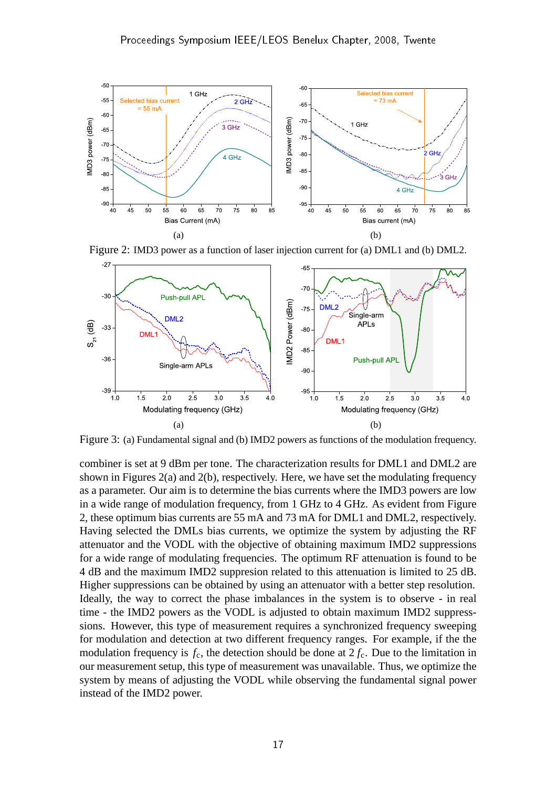

Figure 2: IMD3 power as a function of laser injection current for (a) DML1 and (b) DML2.



Figure 3: (a) Fundamental signal and (b) IMD2 powers as functions of the modulation frequency.

combiner is set at 9 dBm per tone. The characterization results for DML1 and DML2 are shown in Figures 2(a) and 2(b), respectively. Here, we have set the modulating frequency as a parameter. Our aim is to determine the bias currents where the IMD3 powers are low in a wide range of modulation frequency, from 1 GHz to 4 GHz. As evident from Figure 2, these optimum bias currents are 55 mA and 73 mA for DML1 and DML2, respectively. Having selected the DMLs bias currents, we optimize the system by adjusting the RF attenuator and the VODL with the objective of obtaining maximum IMD2 suppressions for a wide range of modulating frequencies. The optimum RF attenuation is found to be 4 dB and the maximum IMD2 suppresion related to this attenuation is limited to 25 dB. Higher suppressions can be obtained by using an attenuator with a better step resolution. Ideally, the way to correct the phase imbalances in the system is to observe - in real time - the IMD2 powers as the VODL is adjusted to obtain maximum IMD2 suppresssions. However, this type of measurement requires a synchronized frequency sweeping for modulation and detection at two different frequency ranges. For example, if the the modulation frequency is  $f_c$ , the detection should be done at  $2 f_c$ . Due to the limitation in our measurement setup, this type of measurement was unavailable. Thus, we optimize the system by means of adjusting the VODL while observing the fundamental signal power instead of the IMD2 power.